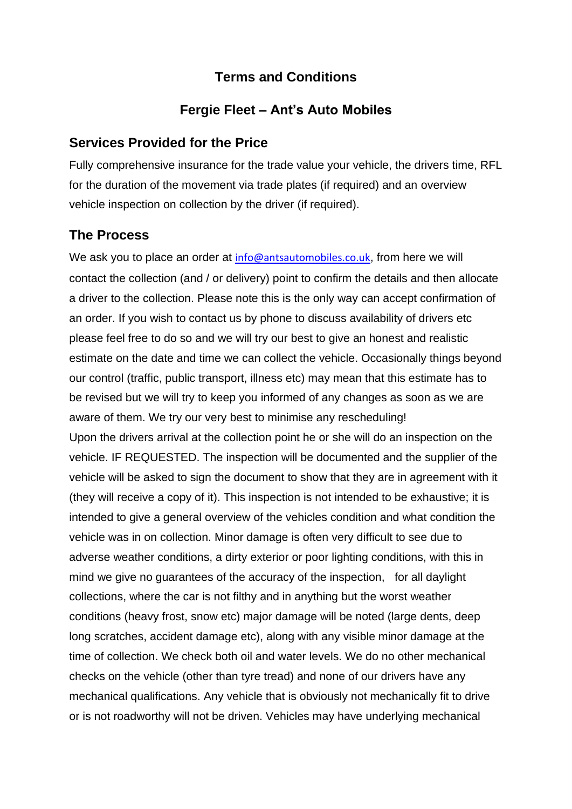## **Terms and Conditions**

# **Fergie Fleet – Ant's Auto Mobiles**

## **Services Provided for the Price**

Fully comprehensive insurance for the trade value your vehicle, the drivers time, RFL for the duration of the movement via trade plates (if required) and an overview vehicle inspection on collection by the driver (if required).

# **The Process**

We ask you to place an order at [info@antsautomobiles.co.uk](mailto:info@antsautomobiles.co.uk), from here we will contact the collection (and / or delivery) point to confirm the details and then allocate a driver to the collection. Please note this is the only way can accept confirmation of an order. If you wish to contact us by phone to discuss availability of drivers etc please feel free to do so and we will try our best to give an honest and realistic estimate on the date and time we can collect the vehicle. Occasionally things beyond our control (traffic, public transport, illness etc) may mean that this estimate has to be revised but we will try to keep you informed of any changes as soon as we are aware of them. We try our very best to minimise any rescheduling! Upon the drivers arrival at the collection point he or she will do an inspection on the vehicle. IF REQUESTED. The inspection will be documented and the supplier of the vehicle will be asked to sign the document to show that they are in agreement with it (they will receive a copy of it). This inspection is not intended to be exhaustive; it is intended to give a general overview of the vehicles condition and what condition the vehicle was in on collection. Minor damage is often very difficult to see due to adverse weather conditions, a dirty exterior or poor lighting conditions, with this in mind we give no guarantees of the accuracy of the inspection, for all daylight collections, where the car is not filthy and in anything but the worst weather conditions (heavy frost, snow etc) major damage will be noted (large dents, deep long scratches, accident damage etc), along with any visible minor damage at the time of collection. We check both oil and water levels. We do no other mechanical checks on the vehicle (other than tyre tread) and none of our drivers have any mechanical qualifications. Any vehicle that is obviously not mechanically fit to drive or is not roadworthy will not be driven. Vehicles may have underlying mechanical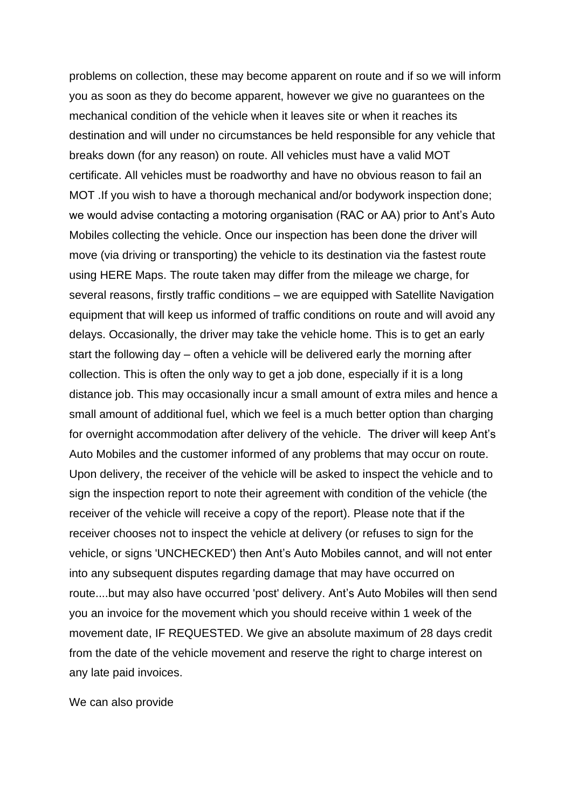problems on collection, these may become apparent on route and if so we will inform you as soon as they do become apparent, however we give no guarantees on the mechanical condition of the vehicle when it leaves site or when it reaches its destination and will under no circumstances be held responsible for any vehicle that breaks down (for any reason) on route. All vehicles must have a valid MOT certificate. All vehicles must be roadworthy and have no obvious reason to fail an MOT .If you wish to have a thorough mechanical and/or bodywork inspection done; we would advise contacting a motoring organisation (RAC or AA) prior to Ant's Auto Mobiles collecting the vehicle. Once our inspection has been done the driver will move (via driving or transporting) the vehicle to its destination via the fastest route using HERE Maps. The route taken may differ from the mileage we charge, for several reasons, firstly traffic conditions – we are equipped with Satellite Navigation equipment that will keep us informed of traffic conditions on route and will avoid any delays. Occasionally, the driver may take the vehicle home. This is to get an early start the following day – often a vehicle will be delivered early the morning after collection. This is often the only way to get a job done, especially if it is a long distance job. This may occasionally incur a small amount of extra miles and hence a small amount of additional fuel, which we feel is a much better option than charging for overnight accommodation after delivery of the vehicle. The driver will keep Ant's Auto Mobiles and the customer informed of any problems that may occur on route. Upon delivery, the receiver of the vehicle will be asked to inspect the vehicle and to sign the inspection report to note their agreement with condition of the vehicle (the receiver of the vehicle will receive a copy of the report). Please note that if the receiver chooses not to inspect the vehicle at delivery (or refuses to sign for the vehicle, or signs 'UNCHECKED') then Ant's Auto Mobiles cannot, and will not enter into any subsequent disputes regarding damage that may have occurred on route....but may also have occurred 'post' delivery. Ant's Auto Mobiles will then send you an invoice for the movement which you should receive within 1 week of the movement date, IF REQUESTED. We give an absolute maximum of 28 days credit from the date of the vehicle movement and reserve the right to charge interest on any late paid invoices.

We can also provide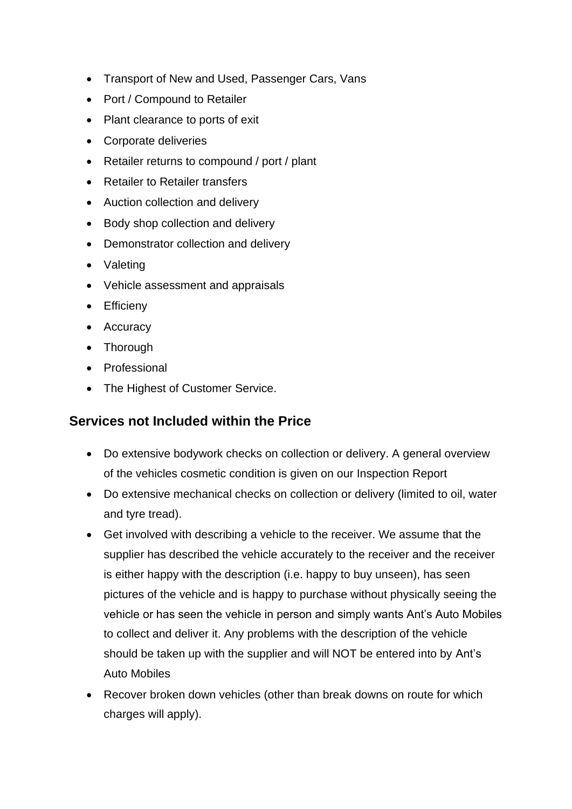- Transport of New and Used, Passenger Cars, Vans
- Port / Compound to Retailer
- Plant clearance to ports of exit
- Corporate deliveries
- Retailer returns to compound / port / plant
- Retailer to Retailer transfers
- Auction collection and delivery
- Body shop collection and delivery
- Demonstrator collection and delivery
- Valeting
- Vehicle assessment and appraisals
- Efficieny
- Accuracy
- Thorough
- Professional
- The Highest of Customer Service.

## **Services not Included within the Price**

- Do extensive bodywork checks on collection or delivery. A general overview of the vehicles cosmetic condition is given on our Inspection Report
- Do extensive mechanical checks on collection or delivery (limited to oil, water and tyre tread).
- Get involved with describing a vehicle to the receiver. We assume that the supplier has described the vehicle accurately to the receiver and the receiver is either happy with the description (i.e. happy to buy unseen), has seen pictures of the vehicle and is happy to purchase without physically seeing the vehicle or has seen the vehicle in person and simply wants Ant's Auto Mobiles to collect and deliver it. Any problems with the description of the vehicle should be taken up with the supplier and will NOT be entered into by Ant's Auto Mobiles
- Recover broken down vehicles (other than break downs on route for which charges will apply).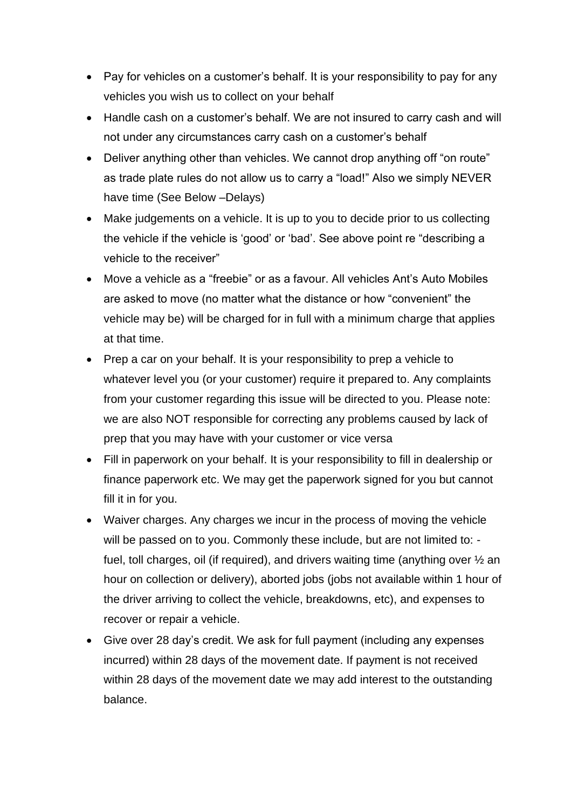- Pay for vehicles on a customer's behalf. It is your responsibility to pay for any vehicles you wish us to collect on your behalf
- Handle cash on a customer's behalf. We are not insured to carry cash and will not under any circumstances carry cash on a customer's behalf
- Deliver anything other than vehicles. We cannot drop anything off "on route" as trade plate rules do not allow us to carry a "load!" Also we simply NEVER have time (See Below –Delays)
- Make judgements on a vehicle. It is up to you to decide prior to us collecting the vehicle if the vehicle is 'good' or 'bad'. See above point re "describing a vehicle to the receiver"
- Move a vehicle as a "freebie" or as a favour. All vehicles Ant's Auto Mobiles are asked to move (no matter what the distance or how "convenient" the vehicle may be) will be charged for in full with a minimum charge that applies at that time.
- Prep a car on your behalf. It is your responsibility to prep a vehicle to whatever level you (or your customer) require it prepared to. Any complaints from your customer regarding this issue will be directed to you. Please note: we are also NOT responsible for correcting any problems caused by lack of prep that you may have with your customer or vice versa
- Fill in paperwork on your behalf. It is your responsibility to fill in dealership or finance paperwork etc. We may get the paperwork signed for you but cannot fill it in for you.
- Waiver charges. Any charges we incur in the process of moving the vehicle will be passed on to you. Commonly these include, but are not limited to: fuel, toll charges, oil (if required), and drivers waiting time (anything over ½ an hour on collection or delivery), aborted jobs (jobs not available within 1 hour of the driver arriving to collect the vehicle, breakdowns, etc), and expenses to recover or repair a vehicle.
- Give over 28 day's credit. We ask for full payment (including any expenses incurred) within 28 days of the movement date. If payment is not received within 28 days of the movement date we may add interest to the outstanding balance.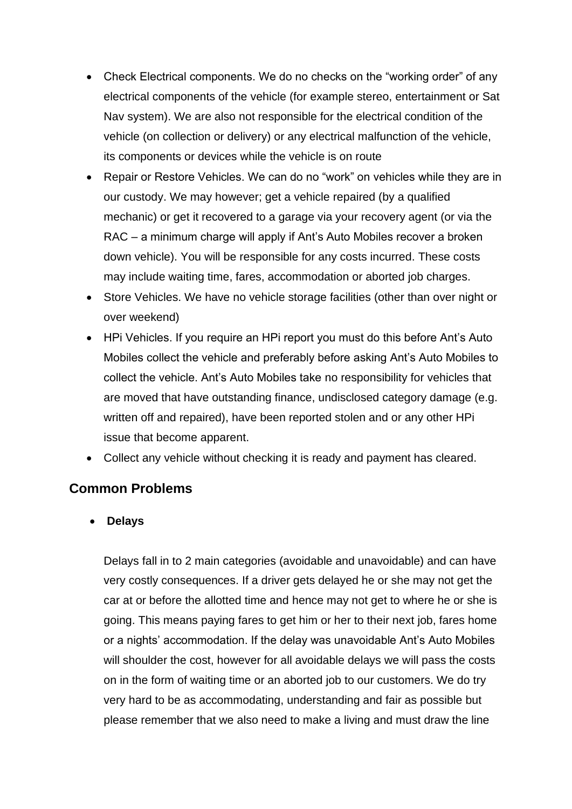- Check Electrical components. We do no checks on the "working order" of any electrical components of the vehicle (for example stereo, entertainment or Sat Nav system). We are also not responsible for the electrical condition of the vehicle (on collection or delivery) or any electrical malfunction of the vehicle, its components or devices while the vehicle is on route
- Repair or Restore Vehicles. We can do no "work" on vehicles while they are in our custody. We may however; get a vehicle repaired (by a qualified mechanic) or get it recovered to a garage via your recovery agent (or via the RAC – a minimum charge will apply if Ant's Auto Mobiles recover a broken down vehicle). You will be responsible for any costs incurred. These costs may include waiting time, fares, accommodation or aborted job charges.
- Store Vehicles. We have no vehicle storage facilities (other than over night or over weekend)
- HPi Vehicles. If you require an HPi report you must do this before Ant's Auto Mobiles collect the vehicle and preferably before asking Ant's Auto Mobiles to collect the vehicle. Ant's Auto Mobiles take no responsibility for vehicles that are moved that have outstanding finance, undisclosed category damage (e.g. written off and repaired), have been reported stolen and or any other HPi issue that become apparent.
- Collect any vehicle without checking it is ready and payment has cleared.

## **Common Problems**

• **Delays**

Delays fall in to 2 main categories (avoidable and unavoidable) and can have very costly consequences. If a driver gets delayed he or she may not get the car at or before the allotted time and hence may not get to where he or she is going. This means paying fares to get him or her to their next job, fares home or a nights' accommodation. If the delay was unavoidable Ant's Auto Mobiles will shoulder the cost, however for all avoidable delays we will pass the costs on in the form of waiting time or an aborted job to our customers. We do try very hard to be as accommodating, understanding and fair as possible but please remember that we also need to make a living and must draw the line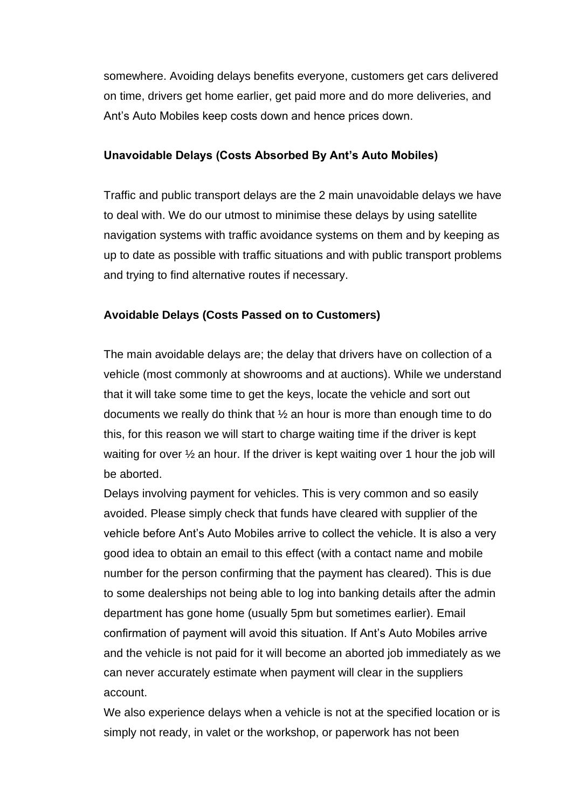somewhere. Avoiding delays benefits everyone, customers get cars delivered on time, drivers get home earlier, get paid more and do more deliveries, and Ant's Auto Mobiles keep costs down and hence prices down.

#### **Unavoidable Delays (Costs Absorbed By Ant's Auto Mobiles)**

Traffic and public transport delays are the 2 main unavoidable delays we have to deal with. We do our utmost to minimise these delays by using satellite navigation systems with traffic avoidance systems on them and by keeping as up to date as possible with traffic situations and with public transport problems and trying to find alternative routes if necessary.

#### **Avoidable Delays (Costs Passed on to Customers)**

The main avoidable delays are; the delay that drivers have on collection of a vehicle (most commonly at showrooms and at auctions). While we understand that it will take some time to get the keys, locate the vehicle and sort out documents we really do think that ½ an hour is more than enough time to do this, for this reason we will start to charge waiting time if the driver is kept waiting for over  $\frac{1}{2}$  an hour. If the driver is kept waiting over 1 hour the job will be aborted.

Delays involving payment for vehicles. This is very common and so easily avoided. Please simply check that funds have cleared with supplier of the vehicle before Ant's Auto Mobiles arrive to collect the vehicle. It is also a very good idea to obtain an email to this effect (with a contact name and mobile number for the person confirming that the payment has cleared). This is due to some dealerships not being able to log into banking details after the admin department has gone home (usually 5pm but sometimes earlier). Email confirmation of payment will avoid this situation. If Ant's Auto Mobiles arrive and the vehicle is not paid for it will become an aborted job immediately as we can never accurately estimate when payment will clear in the suppliers account.

We also experience delays when a vehicle is not at the specified location or is simply not ready, in valet or the workshop, or paperwork has not been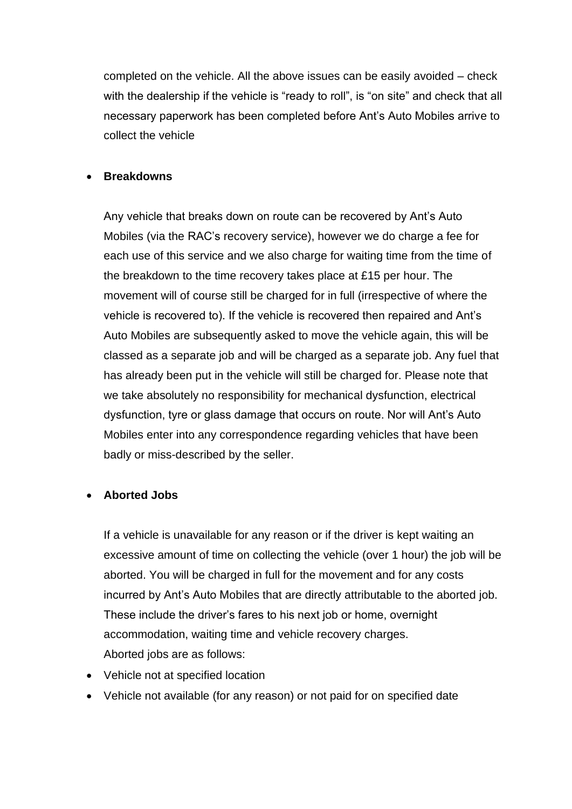completed on the vehicle. All the above issues can be easily avoided – check with the dealership if the vehicle is "ready to roll", is "on site" and check that all necessary paperwork has been completed before Ant's Auto Mobiles arrive to collect the vehicle

#### • **Breakdowns**

Any vehicle that breaks down on route can be recovered by Ant's Auto Mobiles (via the RAC's recovery service), however we do charge a fee for each use of this service and we also charge for waiting time from the time of the breakdown to the time recovery takes place at £15 per hour. The movement will of course still be charged for in full (irrespective of where the vehicle is recovered to). If the vehicle is recovered then repaired and Ant's Auto Mobiles are subsequently asked to move the vehicle again, this will be classed as a separate job and will be charged as a separate job. Any fuel that has already been put in the vehicle will still be charged for. Please note that we take absolutely no responsibility for mechanical dysfunction, electrical dysfunction, tyre or glass damage that occurs on route. Nor will Ant's Auto Mobiles enter into any correspondence regarding vehicles that have been badly or miss-described by the seller.

#### • **Aborted Jobs**

If a vehicle is unavailable for any reason or if the driver is kept waiting an excessive amount of time on collecting the vehicle (over 1 hour) the job will be aborted. You will be charged in full for the movement and for any costs incurred by Ant's Auto Mobiles that are directly attributable to the aborted job. These include the driver's fares to his next job or home, overnight accommodation, waiting time and vehicle recovery charges. Aborted jobs are as follows:

- Vehicle not at specified location
- Vehicle not available (for any reason) or not paid for on specified date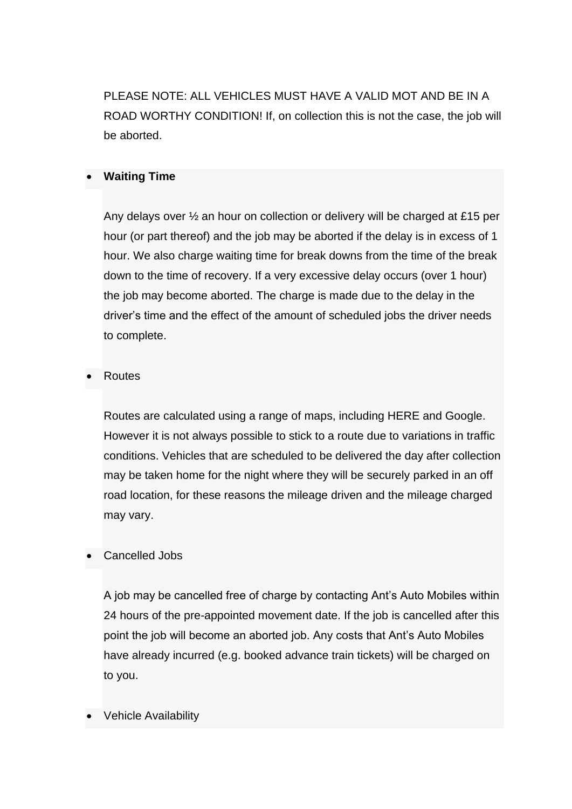PLEASE NOTE: ALL VEHICLES MUST HAVE A VALID MOT AND BE IN A ROAD WORTHY CONDITION! If, on collection this is not the case, the job will be aborted.

#### • **Waiting Time**

Any delays over ½ an hour on collection or delivery will be charged at £15 per hour (or part thereof) and the job may be aborted if the delay is in excess of 1 hour. We also charge waiting time for break downs from the time of the break down to the time of recovery. If a very excessive delay occurs (over 1 hour) the job may become aborted. The charge is made due to the delay in the driver's time and the effect of the amount of scheduled jobs the driver needs to complete.

#### • Routes

Routes are calculated using a range of maps, including HERE and Google. However it is not always possible to stick to a route due to variations in traffic conditions. Vehicles that are scheduled to be delivered the day after collection may be taken home for the night where they will be securely parked in an off road location, for these reasons the mileage driven and the mileage charged may vary.

#### • Cancelled Jobs

A job may be cancelled free of charge by contacting Ant's Auto Mobiles within 24 hours of the pre-appointed movement date. If the job is cancelled after this point the job will become an aborted job. Any costs that Ant's Auto Mobiles have already incurred (e.g. booked advance train tickets) will be charged on to you.

#### • Vehicle Availability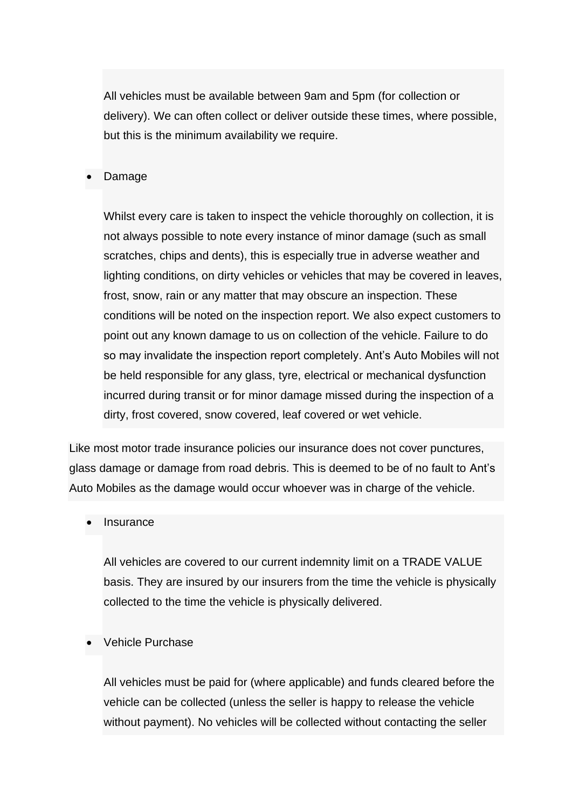All vehicles must be available between 9am and 5pm (for collection or delivery). We can often collect or deliver outside these times, where possible, but this is the minimum availability we require.

• Damage

Whilst every care is taken to inspect the vehicle thoroughly on collection, it is not always possible to note every instance of minor damage (such as small scratches, chips and dents), this is especially true in adverse weather and lighting conditions, on dirty vehicles or vehicles that may be covered in leaves, frost, snow, rain or any matter that may obscure an inspection. These conditions will be noted on the inspection report. We also expect customers to point out any known damage to us on collection of the vehicle. Failure to do so may invalidate the inspection report completely. Ant's Auto Mobiles will not be held responsible for any glass, tyre, electrical or mechanical dysfunction incurred during transit or for minor damage missed during the inspection of a dirty, frost covered, snow covered, leaf covered or wet vehicle.

Like most motor trade insurance policies our insurance does not cover punctures, glass damage or damage from road debris. This is deemed to be of no fault to Ant's Auto Mobiles as the damage would occur whoever was in charge of the vehicle.

**Insurance** 

All vehicles are covered to our current indemnity limit on a TRADE VALUE basis. They are insured by our insurers from the time the vehicle is physically collected to the time the vehicle is physically delivered.

• Vehicle Purchase

All vehicles must be paid for (where applicable) and funds cleared before the vehicle can be collected (unless the seller is happy to release the vehicle without payment). No vehicles will be collected without contacting the seller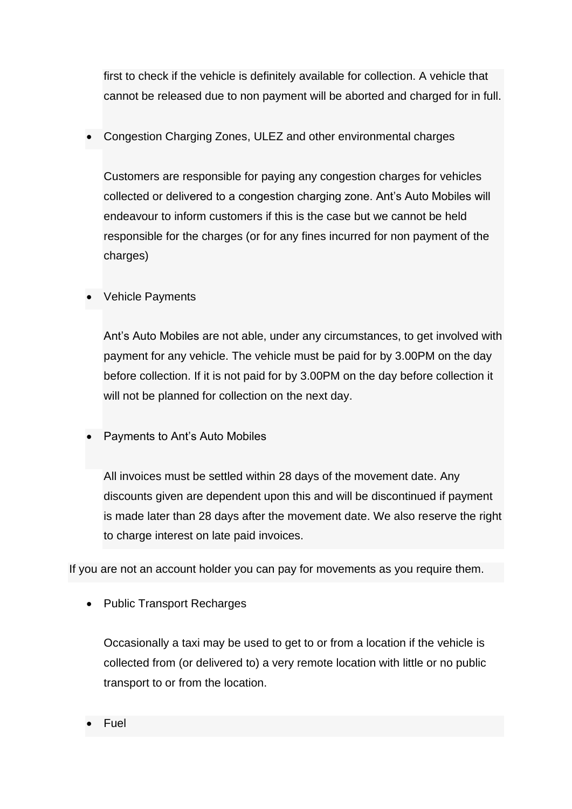first to check if the vehicle is definitely available for collection. A vehicle that cannot be released due to non payment will be aborted and charged for in full.

• Congestion Charging Zones, ULEZ and other environmental charges

Customers are responsible for paying any congestion charges for vehicles collected or delivered to a congestion charging zone. Ant's Auto Mobiles will endeavour to inform customers if this is the case but we cannot be held responsible for the charges (or for any fines incurred for non payment of the charges)

### Vehicle Payments

Ant's Auto Mobiles are not able, under any circumstances, to get involved with payment for any vehicle. The vehicle must be paid for by 3.00PM on the day before collection. If it is not paid for by 3.00PM on the day before collection it will not be planned for collection on the next day.

• Payments to Ant's Auto Mobiles

All invoices must be settled within 28 days of the movement date. Any discounts given are dependent upon this and will be discontinued if payment is made later than 28 days after the movement date. We also reserve the right to charge interest on late paid invoices.

If you are not an account holder you can pay for movements as you require them.

• Public Transport Recharges

Occasionally a taxi may be used to get to or from a location if the vehicle is collected from (or delivered to) a very remote location with little or no public transport to or from the location.

• Fuel